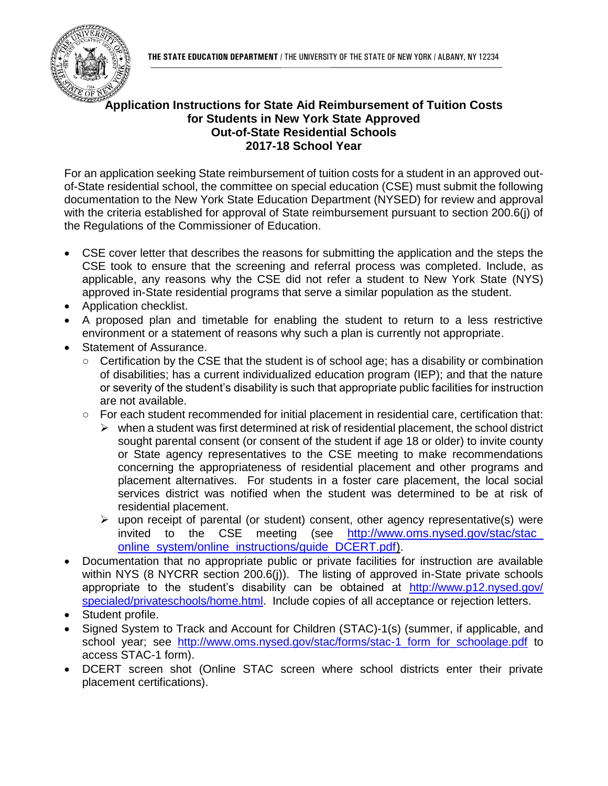**THE STATE EDUCATION DEPARTMENT** / THE UNIVERSITY OF THE STATE OF NEW YORK / ALBANY, NY 12234



## **Application Instructions for State Aid Reimbursement of Tuition Costs for Students in New York State Approved Out-of-State Residential Schools 2017-18 School Year**

For an application seeking State reimbursement of tuition costs for a student in an approved outof-State residential school, the committee on special education (CSE) must submit the following documentation to the New York State Education Department (NYSED) for review and approval with the criteria established for approval of State reimbursement pursuant to section 200.6(j) of the Regulations of the Commissioner of Education.

- CSE cover letter that describes the reasons for submitting the application and the steps the CSE took to ensure that the screening and referral process was completed. Include, as applicable, any reasons why the CSE did not refer a student to New York State (NYS) approved in-State residential programs that serve a similar population as the student.
- Application checklist.
- A proposed plan and timetable for enabling the student to return to a less restrictive environment or a statement of reasons why such a plan is currently not appropriate.
- Statement of Assurance.
	- Certification by the CSE that the student is of school age; has a disability or combination of disabilities; has a current individualized education program (IEP); and that the nature or severity of the student's disability is such that appropriate public facilities for instruction are not available.
	- For each student recommended for initial placement in residential care, certification that:
		- $\triangleright$  when a student was first determined at risk of residential placement, the school district sought parental consent (or consent of the student if age 18 or older) to invite county or State agency representatives to the CSE meeting to make recommendations concerning the appropriateness of residential placement and other programs and placement alternatives. For students in a foster care placement, the local social services district was notified when the student was determined to be at risk of residential placement.
		- $\triangleright$  upon receipt of parental (or student) consent, other agency representative(s) were invited to the CSE meeting (see [http://www.oms.nysed.gov/stac/stac\\_](http://www.oms.nysed.gov/stac/stac_online_system/online_instructions/guide_DCERT.pdf) [online\\_system/online\\_instructions/guide\\_DCERT.pdf\)](http://www.oms.nysed.gov/stac/stac_online_system/online_instructions/guide_DCERT.pdf).
- Documentation that no appropriate public or private facilities for instruction are available within NYS (8 NYCRR section 200.6(j)). The listing of approved in-State private schools appropriate to the student's disability can be obtained at [http://www.p12.nysed.gov/](http://www.p12.nysed.gov/specialed/privateschools/home.html) [specialed/privateschools/home.html.](http://www.p12.nysed.gov/specialed/privateschools/home.html) Include copies of all acceptance or rejection letters.
- Student profile.
- Signed System to Track and Account for Children (STAC)-1(s) (summer, if applicable, and school year; see [http://www.oms.nysed.gov/stac/forms/stac-1\\_form\\_for\\_schoolage.pdf](http://www.oms.nysed.gov/stac/forms/stac-1_form_for_schoolage.pdf) to access STAC-1 form).
- DCERT screen shot (Online STAC screen where school districts enter their private placement certifications).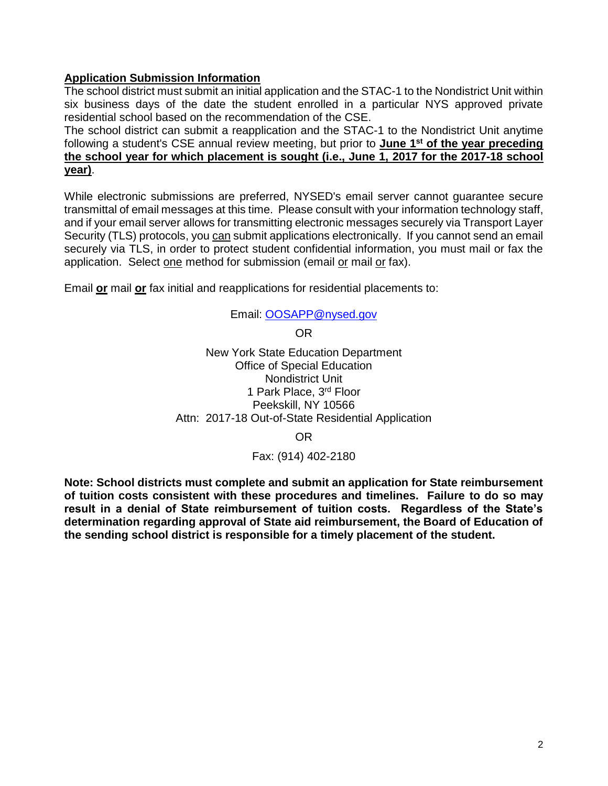## **Application Submission Information**

The school district must submit an initial application and the STAC-1 to the Nondistrict Unit within six business days of the date the student enrolled in a particular NYS approved private residential school based on the recommendation of the CSE.

The school district can submit a reapplication and the STAC-1 to the Nondistrict Unit anytime following a student's CSE annual review meeting, but prior to **June 1st of the year preceding the school year for which placement is sought (i.e., June 1, 2017 for the 2017-18 school year)**.

While electronic submissions are preferred, NYSED's email server cannot guarantee secure transmittal of email messages at this time. Please consult with your information technology staff, and if your email server allows for transmitting electronic messages securely via Transport Layer Security (TLS) protocols, you can submit applications electronically. If you cannot send an email securely via TLS, in order to protect student confidential information, you must mail or fax the application. Select one method for submission (email or mail or fax).

Email **or** mail **or** fax initial and reapplications for residential placements to:

#### Email: [OOSAPP@nysed.gov](mailto:OOSAPP@mail.nysed.gov)

OR

New York State Education Department Office of Special Education Nondistrict Unit 1 Park Place, 3rd Floor Peekskill, NY 10566 Attn: 2017-18 Out-of-State Residential Application

OR

### Fax: (914) 402-2180

**Note: School districts must complete and submit an application for State reimbursement of tuition costs consistent with these procedures and timelines. Failure to do so may result in a denial of State reimbursement of tuition costs. Regardless of the State's determination regarding approval of State aid reimbursement, the Board of Education of the sending school district is responsible for a timely placement of the student.**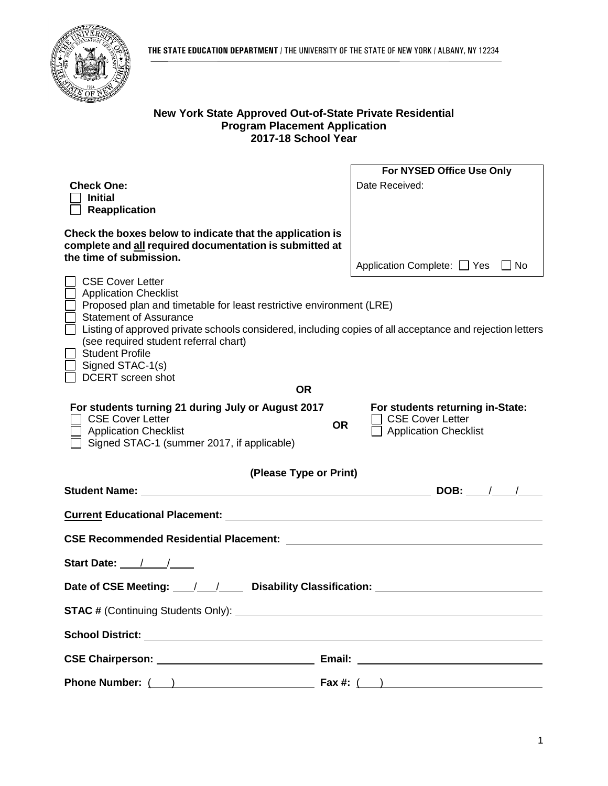

### **New York State Approved Out-of-State Private Residential Program Placement Application 2017-18 School Year**

|                                                                                                                      | For NYSED Office Use Only                                      |
|----------------------------------------------------------------------------------------------------------------------|----------------------------------------------------------------|
| <b>Check One:</b>                                                                                                    | Date Received:                                                 |
| <b>Initial</b><br><b>Reapplication</b>                                                                               |                                                                |
|                                                                                                                      |                                                                |
| Check the boxes below to indicate that the application is<br>complete and all required documentation is submitted at |                                                                |
| the time of submission.                                                                                              | Application Complete: □ Yes □ No                               |
| <b>CSE Cover Letter</b>                                                                                              |                                                                |
| <b>Application Checklist</b>                                                                                         |                                                                |
| Proposed plan and timetable for least restrictive environment (LRE)<br><b>Statement of Assurance</b>                 |                                                                |
| Listing of approved private schools considered, including copies of all acceptance and rejection letters             |                                                                |
| (see required student referral chart)<br><b>Student Profile</b>                                                      |                                                                |
| Signed STAC-1(s)                                                                                                     |                                                                |
| <b>DCERT</b> screen shot                                                                                             |                                                                |
| <b>OR</b>                                                                                                            |                                                                |
| For students turning 21 during July or August 2017<br><b>CSE Cover Letter</b>                                        | For students returning in-State:<br><b>CSE Cover Letter</b>    |
| <b>OR</b><br><b>Application Checklist</b>                                                                            | <b>Application Checklist</b>                                   |
| Signed STAC-1 (summer 2017, if applicable)                                                                           |                                                                |
| (Please Type or Print)                                                                                               |                                                                |
|                                                                                                                      |                                                                |
|                                                                                                                      |                                                                |
|                                                                                                                      |                                                                |
|                                                                                                                      |                                                                |
| Start Date: / / /                                                                                                    |                                                                |
|                                                                                                                      |                                                                |
| <b>STAC # (Continuing Students Only):</b>                                                                            |                                                                |
| <b>School District:</b><br><u> 1986 - Johann Stein, fransk kampens og f</u>                                          |                                                                |
| Email:                                                                                                               | <u> 1989 - Andrea State Barbara, amerikan per</u>              |
| Phone Number: ( )<br>Fax #: (                                                                                        | ) and the contract of the contract of $\overline{\phantom{a}}$ |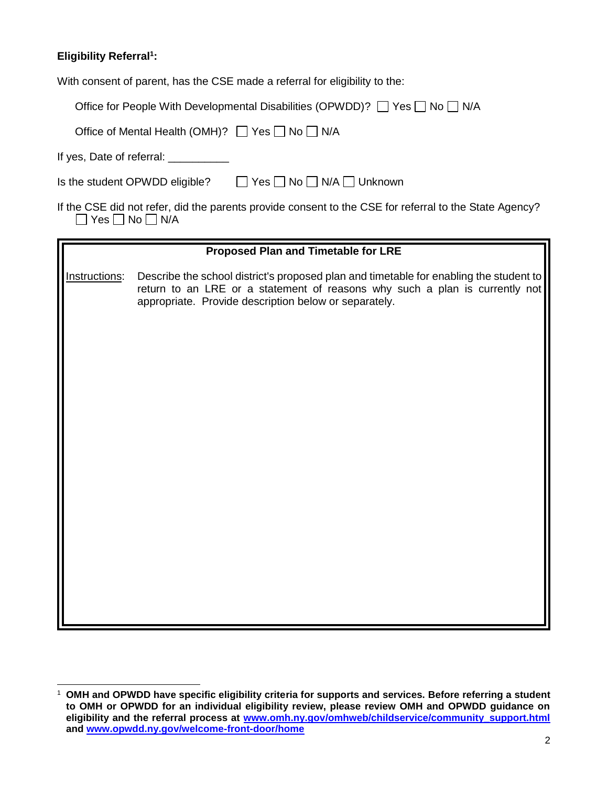## **Eligibility Referral<sup>1</sup> :**

l

With consent of parent, has the CSE made a referral for eligibility to the:

| Office for People With Developmental Disabilities (OPWDD)? □ Yes □ No □ N/A |  |  |  |
|-----------------------------------------------------------------------------|--|--|--|
|-----------------------------------------------------------------------------|--|--|--|

| Office of Mental Health (OMH)? □ Yes □ No □ N/A |  |
|-------------------------------------------------|--|
|-------------------------------------------------|--|

If yes, Date of referral: \_\_\_\_\_\_\_\_\_\_

| Is the student OPWDD eligible? | □ Yes □ No □ N/A □ Unknown |
|--------------------------------|----------------------------|
|                                |                            |

|                                 | If the CSE did not refer, did the parents provide consent to the CSE for referral to the State Agency? |  |
|---------------------------------|--------------------------------------------------------------------------------------------------------|--|
| $\Box$ Yes $\Box$ No $\Box$ N/A |                                                                                                        |  |

|               | <b>Proposed Plan and Timetable for LRE</b>                                                                                                                                                                                     |
|---------------|--------------------------------------------------------------------------------------------------------------------------------------------------------------------------------------------------------------------------------|
| Instructions: | Describe the school district's proposed plan and timetable for enabling the student to<br>return to an LRE or a statement of reasons why such a plan is currently not<br>appropriate. Provide description below or separately. |
|               |                                                                                                                                                                                                                                |
|               |                                                                                                                                                                                                                                |

<sup>1</sup> **OMH and OPWDD have specific eligibility criteria for supports and services. Before referring a student to OMH or OPWDD for an individual eligibility review, please review OMH and OPWDD guidance on eligibility and the referral process at [www.omh.ny.gov/omhweb/childservice/community\\_support.html](http://www.omh.ny.gov/omhweb/childservice/community_support.html) and [www.opwdd.ny.gov/welcome-front-door/home](http://www.opwdd.ny.gov/welcome-front-door/home)**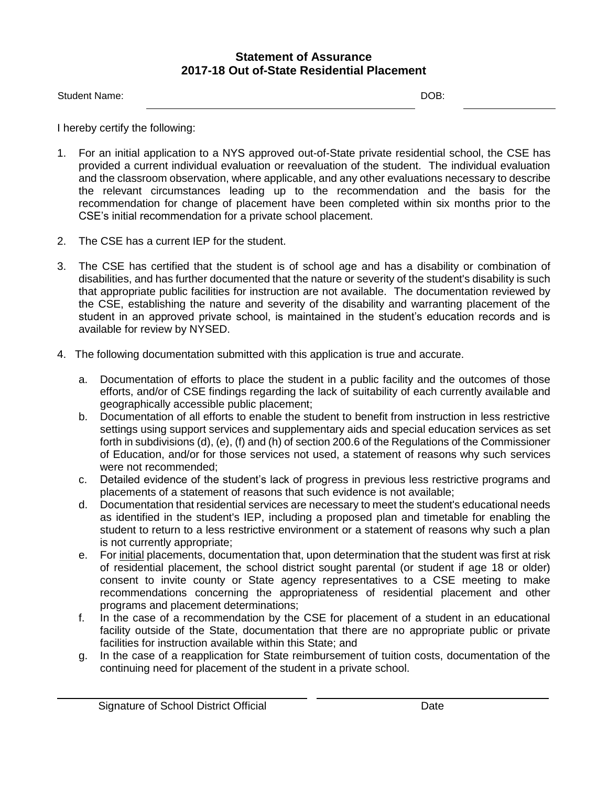## **Statement of Assurance 2017-18 Out of-State Residential Placement**

I hereby certify the following:

- 1. For an initial application to a NYS approved out-of-State private residential school, the CSE has provided a current individual evaluation or reevaluation of the student. The individual evaluation and the classroom observation, where applicable, and any other evaluations necessary to describe the relevant circumstances leading up to the recommendation and the basis for the recommendation for change of placement have been completed within six months prior to the CSE's initial recommendation for a private school placement.
- 2. The CSE has a current IEP for the student.
- 3. The CSE has certified that the student is of school age and has a disability or combination of disabilities, and has further documented that the nature or severity of the student's disability is such that appropriate public facilities for instruction are not available. The documentation reviewed by the CSE, establishing the nature and severity of the disability and warranting placement of the student in an approved private school, is maintained in the student's education records and is available for review by NYSED.
- 4. The following documentation submitted with this application is true and accurate.
	- a. Documentation of efforts to place the student in a public facility and the outcomes of those efforts, and/or of CSE findings regarding the lack of suitability of each currently available and geographically accessible public placement;
	- b. Documentation of all efforts to enable the student to benefit from instruction in less restrictive settings using support services and supplementary aids and special education services as set forth in subdivisions (d), (e), (f) and (h) of section 200.6 of the Regulations of the Commissioner of Education, and/or for those services not used, a statement of reasons why such services were not recommended;
	- c. Detailed evidence of the student's lack of progress in previous less restrictive programs and placements of a statement of reasons that such evidence is not available;
	- d. Documentation that residential services are necessary to meet the student's educational needs as identified in the student's IEP, including a proposed plan and timetable for enabling the student to return to a less restrictive environment or a statement of reasons why such a plan is not currently appropriate;
	- e. For initial placements, documentation that, upon determination that the student was first at risk of residential placement, the school district sought parental (or student if age 18 or older) consent to invite county or State agency representatives to a CSE meeting to make recommendations concerning the appropriateness of residential placement and other programs and placement determinations;
	- f. In the case of a recommendation by the CSE for placement of a student in an educational facility outside of the State, documentation that there are no appropriate public or private facilities for instruction available within this State; and
	- g. In the case of a reapplication for State reimbursement of tuition costs, documentation of the continuing need for placement of the student in a private school.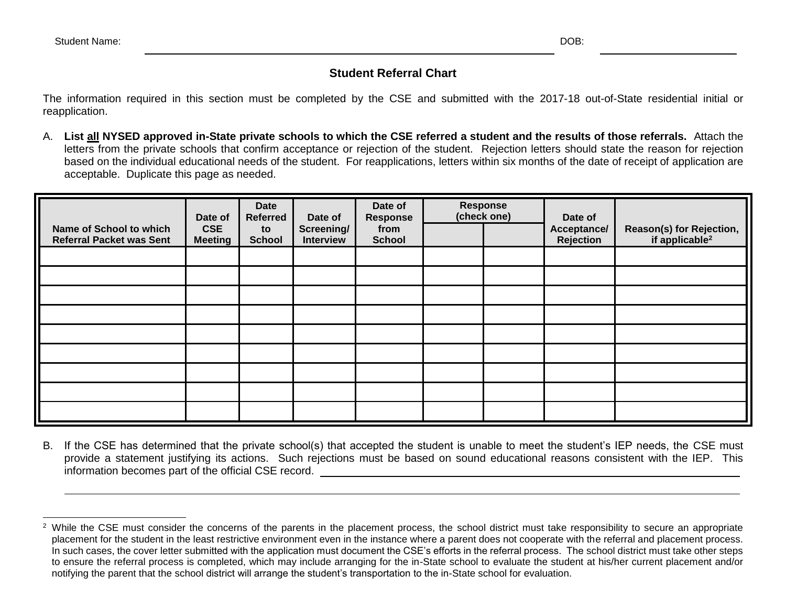l

# **Student Referral Chart**

The information required in this section must be completed by the CSE and submitted with the 2017-18 out-of-State residential initial or reapplication.

A. **List all NYSED approved in-State private schools to which the CSE referred a student and the results of those referrals.** Attach the letters from the private schools that confirm acceptance or rejection of the student. Rejection letters should state the reason for rejection based on the individual educational needs of the student. For reapplications, letters within six months of the date of receipt of application are acceptable. Duplicate this page as needed.

| Name of School to which         | Date of<br><b>CSE</b> | <b>Date</b><br><b>Referred</b><br>to | Date of<br>Screening/ | Date of<br><b>Response</b><br>from | <b>Response</b><br>(check one) | Date of<br>Acceptance/ | Reason(s) for Rejection,   |
|---------------------------------|-----------------------|--------------------------------------|-----------------------|------------------------------------|--------------------------------|------------------------|----------------------------|
| <b>Referral Packet was Sent</b> | <b>Meeting</b>        | <b>School</b>                        | Interview             | <b>School</b>                      |                                | <b>Rejection</b>       | if applicable <sup>2</sup> |
|                                 |                       |                                      |                       |                                    |                                |                        |                            |
|                                 |                       |                                      |                       |                                    |                                |                        |                            |
|                                 |                       |                                      |                       |                                    |                                |                        |                            |
|                                 |                       |                                      |                       |                                    |                                |                        |                            |
|                                 |                       |                                      |                       |                                    |                                |                        |                            |
|                                 |                       |                                      |                       |                                    |                                |                        |                            |
|                                 |                       |                                      |                       |                                    |                                |                        |                            |
|                                 |                       |                                      |                       |                                    |                                |                        |                            |
|                                 |                       |                                      |                       |                                    |                                |                        |                            |

B. If the CSE has determined that the private school(s) that accepted the student is unable to meet the student's IEP needs, the CSE must provide a statement justifying its actions. Such rejections must be based on sound educational reasons consistent with the IEP. This information becomes part of the official CSE record.

<sup>&</sup>lt;sup>2</sup> While the CSE must consider the concerns of the parents in the placement process, the school district must take responsibility to secure an appropriate placement for the student in the least restrictive environment even in the instance where a parent does not cooperate with the referral and placement process. In such cases, the cover letter submitted with the application must document the CSE's efforts in the referral process. The school district must take other steps to ensure the referral process is completed, which may include arranging for the in-State school to evaluate the student at his/her current placement and/or notifying the parent that the school district will arrange the student's transportation to the in-State school for evaluation.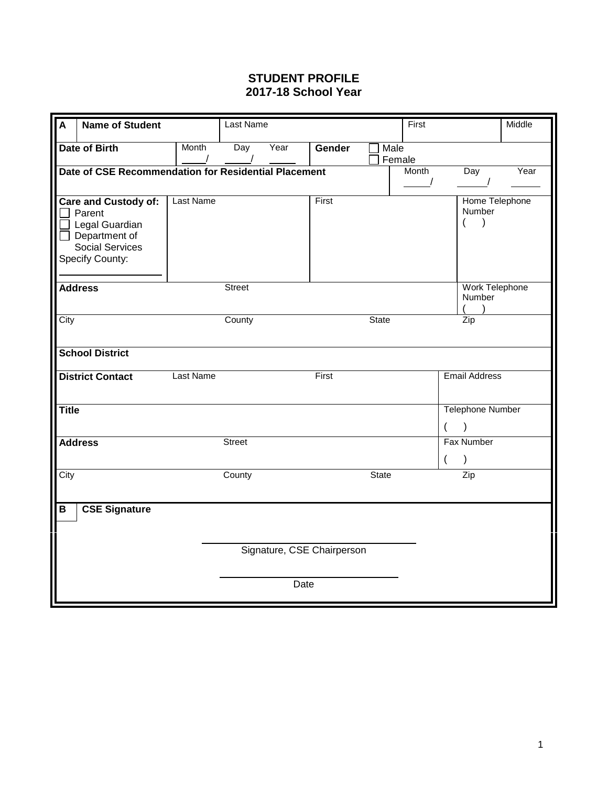## **STUDENT PROFILE 2017-18 School Year**

| $\mathsf{A}$            | <b>Name of Student</b>                               |                  | Last Name     |      |                            |              | First          |                          | Middle |
|-------------------------|------------------------------------------------------|------------------|---------------|------|----------------------------|--------------|----------------|--------------------------|--------|
|                         | <b>Date of Birth</b>                                 | Month            | Day           | Year | Gender                     | Male         |                |                          |        |
|                         |                                                      |                  |               |      |                            | Female       |                |                          |        |
|                         | Date of CSE Recommendation for Residential Placement |                  |               |      |                            |              | Month          | Day                      | Year   |
|                         |                                                      |                  |               |      |                            |              |                |                          |        |
|                         | <b>Care and Custody of:</b><br>Parent                | <b>Last Name</b> |               |      | First                      |              |                | Home Telephone<br>Number |        |
|                         | Legal Guardian                                       |                  |               |      |                            |              |                | $\lambda$<br>(           |        |
|                         | $\Box$ Department of                                 |                  |               |      |                            |              |                |                          |        |
|                         | <b>Social Services</b>                               |                  |               |      |                            |              |                |                          |        |
|                         | Specify County:                                      |                  |               |      |                            |              |                |                          |        |
|                         |                                                      |                  |               |      |                            |              |                |                          |        |
|                         | <b>Address</b>                                       |                  | <b>Street</b> |      |                            |              |                | Work Telephone           |        |
|                         |                                                      |                  |               |      |                            |              |                | Number                   |        |
|                         |                                                      |                  |               |      |                            |              |                |                          |        |
| City                    |                                                      |                  | County        |      |                            | <b>State</b> |                | Zip                      |        |
|                         |                                                      |                  |               |      |                            |              |                |                          |        |
|                         | <b>School District</b>                               |                  |               |      |                            |              |                |                          |        |
|                         | <b>District Contact</b>                              | <b>Last Name</b> |               |      | First                      |              |                | <b>Email Address</b>     |        |
|                         |                                                      |                  |               |      |                            |              |                |                          |        |
| <b>Title</b>            |                                                      |                  |               |      |                            |              |                | <b>Telephone Number</b>  |        |
|                         |                                                      |                  |               |      |                            |              |                | $\mathcal{E}$            |        |
|                         | <b>Address</b>                                       |                  | <b>Street</b> |      |                            |              |                | <b>Fax Number</b>        |        |
|                         |                                                      |                  |               |      |                            |              | $\overline{(}$ | $\mathcal{C}$            |        |
| City                    |                                                      |                  | County        |      |                            | <b>State</b> |                | Zip                      |        |
|                         |                                                      |                  |               |      |                            |              |                |                          |        |
| $\overline{\mathsf{B}}$ | <b>CSE Signature</b>                                 |                  |               |      |                            |              |                |                          |        |
|                         |                                                      |                  |               |      |                            |              |                |                          |        |
|                         |                                                      |                  |               |      |                            |              |                |                          |        |
|                         |                                                      |                  |               |      | Signature, CSE Chairperson |              |                |                          |        |
|                         |                                                      |                  |               |      |                            |              |                |                          |        |
|                         |                                                      |                  |               | Date |                            |              |                |                          |        |
|                         |                                                      |                  |               |      |                            |              |                |                          |        |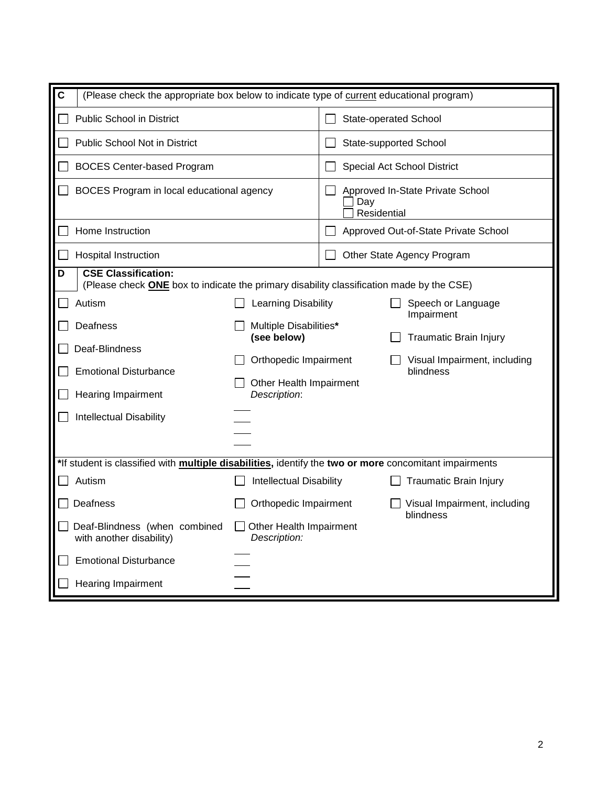| $\mathbf c$<br>(Please check the appropriate box below to indicate type of current educational program)                     |                                                                  |                    |                                           |
|-----------------------------------------------------------------------------------------------------------------------------|------------------------------------------------------------------|--------------------|-------------------------------------------|
| <b>Public School in District</b>                                                                                            |                                                                  |                    | State-operated School                     |
| <b>Public School Not in District</b>                                                                                        |                                                                  |                    | State-supported School                    |
| <b>BOCES Center-based Program</b>                                                                                           |                                                                  |                    | Special Act School District               |
| BOCES Program in local educational agency                                                                                   |                                                                  | Day<br>Residential | Approved In-State Private School          |
| Home Instruction                                                                                                            |                                                                  |                    | Approved Out-of-State Private School      |
| <b>Hospital Instruction</b>                                                                                                 |                                                                  |                    | Other State Agency Program                |
| <b>CSE Classification:</b><br>D<br>(Please check ONE box to indicate the primary disability classification made by the CSE) |                                                                  |                    |                                           |
| Autism                                                                                                                      | Learning Disability                                              |                    | Speech or Language<br>Impairment          |
| Deafness                                                                                                                    | Multiple Disabilities*<br>(see below)                            |                    | <b>Traumatic Brain Injury</b>             |
| Deaf-Blindness<br><b>Emotional Disturbance</b><br>Hearing Impairment                                                        | Orthopedic Impairment<br>Other Health Impairment<br>Description: |                    | Visual Impairment, including<br>blindness |
| <b>Intellectual Disability</b>                                                                                              |                                                                  |                    |                                           |
| *If student is classified with multiple disabilities, identify the two or more concomitant impairments                      |                                                                  |                    |                                           |
| Autism                                                                                                                      | <b>Intellectual Disability</b>                                   |                    | <b>Traumatic Brain Injury</b>             |
| Deafness                                                                                                                    | Orthopedic Impairment                                            |                    | Visual Impairment, including<br>blindness |
| Deaf-Blindness (when combined<br>with another disability)                                                                   | Other Health Impairment<br>Description:                          |                    |                                           |
| <b>Emotional Disturbance</b>                                                                                                |                                                                  |                    |                                           |
| <b>Hearing Impairment</b>                                                                                                   |                                                                  |                    |                                           |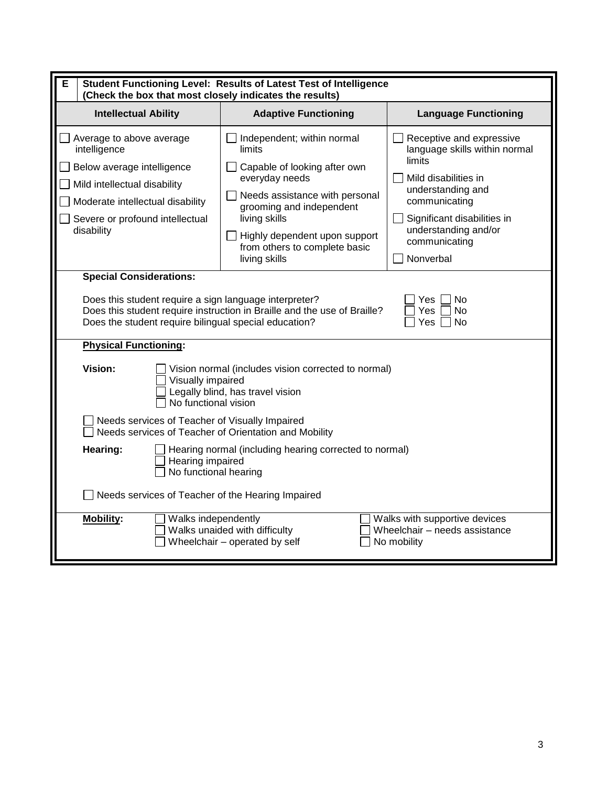| E<br>Student Functioning Level: Results of Latest Test of Intelligence<br>(Check the box that most closely indicates the results)                                                           |                                                                                                                                                                                                                                                          |                                                                                                                                                                                                                        |  |  |  |  |  |
|---------------------------------------------------------------------------------------------------------------------------------------------------------------------------------------------|----------------------------------------------------------------------------------------------------------------------------------------------------------------------------------------------------------------------------------------------------------|------------------------------------------------------------------------------------------------------------------------------------------------------------------------------------------------------------------------|--|--|--|--|--|
| <b>Intellectual Ability</b><br><b>Adaptive Functioning</b><br><b>Language Functioning</b>                                                                                                   |                                                                                                                                                                                                                                                          |                                                                                                                                                                                                                        |  |  |  |  |  |
| Average to above average<br>intelligence<br>Below average intelligence<br>Mild intellectual disability<br>Moderate intellectual disability<br>Severe or profound intellectual<br>disability | Independent; within normal<br>limits<br>Capable of looking after own<br>everyday needs<br>Needs assistance with personal<br>grooming and independent<br>living skills<br>Highly dependent upon support<br>from others to complete basic<br>living skills | Receptive and expressive<br>language skills within normal<br>limits<br>Mild disabilities in<br>understanding and<br>communicating<br>Significant disabilities in<br>understanding and/or<br>communicating<br>Nonverbal |  |  |  |  |  |
| <b>Special Considerations:</b><br>Does this student require a sign language interpreter?<br>Does the student require bilingual special education?<br><b>Physical Functioning:</b>           | Does this student require instruction in Braille and the use of Braille?                                                                                                                                                                                 | No<br>Yes.<br>Yes<br><b>No</b><br>Yes<br><b>No</b>                                                                                                                                                                     |  |  |  |  |  |
| Vision:<br>Visually impaired<br>No functional vision                                                                                                                                        | Vision normal (includes vision corrected to normal)<br>Legally blind, has travel vision                                                                                                                                                                  |                                                                                                                                                                                                                        |  |  |  |  |  |
| Needs services of Teacher of Visually Impaired<br>Needs services of Teacher of Orientation and Mobility                                                                                     |                                                                                                                                                                                                                                                          |                                                                                                                                                                                                                        |  |  |  |  |  |
| Hearing normal (including hearing corrected to normal)<br>Hearing:<br>Hearing impaired<br>No functional hearing                                                                             |                                                                                                                                                                                                                                                          |                                                                                                                                                                                                                        |  |  |  |  |  |
| Needs services of Teacher of the Hearing Impaired                                                                                                                                           |                                                                                                                                                                                                                                                          |                                                                                                                                                                                                                        |  |  |  |  |  |
| <b>Mobility:</b><br>Walks independently                                                                                                                                                     | Walks unaided with difficulty<br>Wheelchair - operated by self                                                                                                                                                                                           | Walks with supportive devices<br>Wheelchair - needs assistance<br>No mobility                                                                                                                                          |  |  |  |  |  |